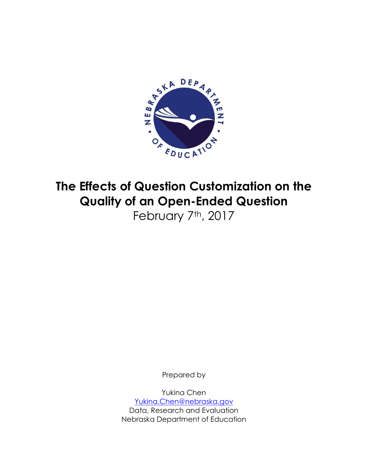

# **The Effects of Question Customization on the Quality of an Open-Ended Question** February 7th, 2017

Prepared by

Yukina Chen [Yukina.Chen@nebraska.gov](mailto:Yukina.Chen@nebraska.gov) Data, Research and Evaluation Nebraska Department of Education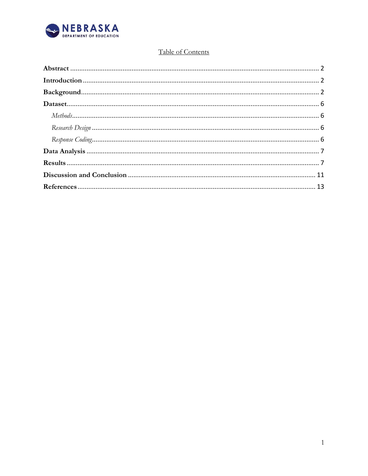

# Table of Contents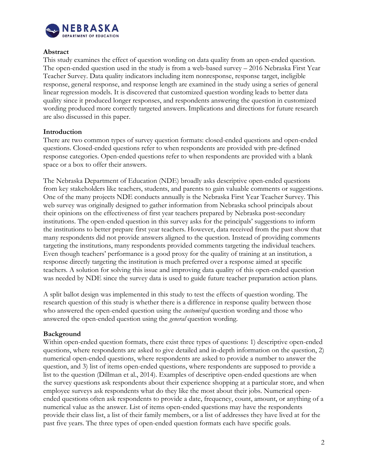

#### <span id="page-2-0"></span>**Abstract**

This study examines the effect of question wording on data quality from an open-ended question. The open-ended question used in the study is from a web-based survey – 2016 Nebraska First Year Teacher Survey. Data quality indicators including item nonresponse, response target, ineligible response, general response, and response length are examined in the study using a series of general linear regression models. It is discovered that customized question wording leads to better data quality since it produced longer responses, and respondents answering the question in customized wording produced more correctly targeted answers. Implications and directions for future research are also discussed in this paper.

# <span id="page-2-1"></span>**Introduction**

There are two common types of survey question formats: closed-ended questions and open-ended questions. Closed-ended questions refer to when respondents are provided with pre-defined response categories. Open-ended questions refer to when respondents are provided with a blank space or a box to offer their answers.

The Nebraska Department of Education (NDE) broadly asks descriptive open-ended questions from key stakeholders like teachers, students, and parents to gain valuable comments or suggestions. One of the many projects NDE conducts annually is the Nebraska First Year Teacher Survey. This web survey was originally designed to gather information from Nebraska school principals about their opinions on the effectiveness of first year teachers prepared by Nebraska post-secondary institutions. The open-ended question in this survey asks for the principals' suggestions to inform the institutions to better prepare first year teachers. However, data received from the past show that many respondents did not provide answers aligned to the question. Instead of providing comments targeting the institutions, many respondents provided comments targeting the individual teachers. Even though teachers' performance is a good proxy for the quality of training at an institution, a response directly targeting the institution is much preferred over a response aimed at specific teachers. A solution for solving this issue and improving data quality of this open-ended question was needed by NDE since the survey data is used to guide future teacher preparation action plans.

A split ballot design was implemented in this study to test the effects of question wording. The research question of this study is whether there is a difference in response quality between those who answered the open-ended question using the *customized* question wording and those who answered the open-ended question using the *general* question wording.

#### <span id="page-2-2"></span>**Background**

Within open-ended question formats, there exist three types of questions: 1) descriptive open-ended questions, where respondents are asked to give detailed and in-depth information on the question, 2) numerical open-ended questions, where respondents are asked to provide a number to answer the question, and 3) list of items open-ended questions, where respondents are supposed to provide a list to the question (Dillman et al., 2014). Examples of descriptive open-ended questions are when the survey questions ask respondents about their experience shopping at a particular store, and when employee surveys ask respondents what do they like the most about their jobs. Numerical openended questions often ask respondents to provide a date, frequency, count, amount, or anything of a numerical value as the answer. List of items open-ended questions may have the respondents provide their class list, a list of their family members, or a list of addresses they have lived at for the past five years. The three types of open-ended question formats each have specific goals.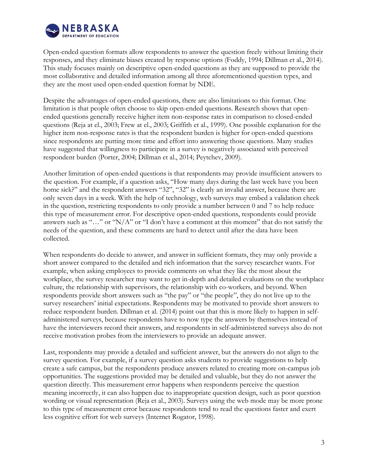

Open-ended question formats allow respondents to answer the question freely without limiting their responses, and they eliminate biases created by response options (Foddy, 1994; Dillman et al., 2014). This study focuses mainly on descriptive open-ended questions as they are supposed to provide the most collaborative and detailed information among all three aforementioned question types, and they are the most used open-ended question format by NDE.

Despite the advantages of open-ended questions, there are also limitations to this format. One limitation is that people often choose to skip open-ended questions. Research shows that openended questions generally receive higher item non-response rates in comparison to closed-ended questions (Reja at el., 2003; Frew at el., 2003; Griffith et al., 1999). One possible explanation for the higher item non-response rates is that the respondent burden is higher for open-ended questions since respondents are putting more time and effort into answering those questions. Many studies have suggested that willingness to participate in a survey is negatively associated with perceived respondent burden (Porter, 2004; Dillman et al., 2014; Peytchev, 2009).

Another limitation of open-ended questions is that respondents may provide insufficient answers to the question. For example, if a question asks, "How many days during the last week have you been home sick?" and the respondent answers "32", "32" is clearly an invalid answer, because there are only seven days in a week. With the help of technology, web surveys may embed a validation check in the question, restricting respondents to only provide a number between 0 and 7 to help reduce this type of measurement error. For descriptive open-ended questions, respondents could provide answers such as "..." or " $N/A$ " or "I don't have a comment at this moment" that do not satisfy the needs of the question, and these comments are hard to detect until after the data have been collected.

When respondents do decide to answer, and answer in sufficient formats, they may only provide a short answer compared to the detailed and rich information that the survey researcher wants. For example, when asking employees to provide comments on what they like the most about the workplace, the survey researcher may want to get in-depth and detailed evaluations on the workplace culture, the relationship with supervisors, the relationship with co-workers, and beyond. When respondents provide short answers such as "the pay" or "the people", they do not live up to the survey researchers' initial expectations. Respondents may be motivated to provide short answers to reduce respondent burden. Dillman et al. (2014) point out that this is more likely to happen in selfadministered surveys, because respondents have to now type the answers by themselves instead of have the interviewers record their answers, and respondents in self-administered surveys also do not receive motivation probes from the interviewers to provide an adequate answer.

Last, respondents may provide a detailed and sufficient answer, but the answers do not align to the survey question. For example, if a survey question asks students to provide suggestions to help create a safe campus, but the respondents produce answers related to creating more on-campus job opportunities. The suggestions provided may be detailed and valuable, but they do not answer the question directly. This measurement error happens when respondents perceive the question meaning incorrectly, it can also happen due to inappropriate question design, such as poor question wording or visual representation (Reja et al., 2003). Surveys using the web mode may be more prone to this type of measurement error because respondents tend to read the questions faster and exert less cognitive effort for web surveys (Internet Rogator, 1998).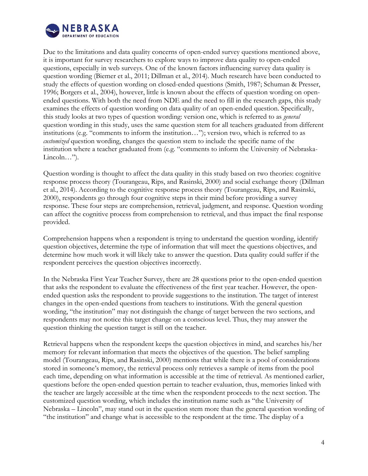

Due to the limitations and data quality concerns of open-ended survey questions mentioned above, it is important for survey researchers to explore ways to improve data quality to open-ended questions, especially in web surveys. One of the known factors influencing survey data quality is question wording (Biemer et al., 2011; Dillman et al., 2014). Much research have been conducted to study the effects of question wording on closed-ended questions (Smith, 1987; Schuman & Presser, 1996; Borgers et al., 2004), however, little is known about the effects of question wording on openended questions. With both the need from NDE and the need to fill in the research gaps, this study examines the effects of question wording on data quality of an open-ended question. Specifically, this study looks at two types of question wording: version one, which is referred to as *general* question wording in this study, uses the same question stem for all teachers graduated from different institutions (e.g. "comments to inform the institution…"); version two, which is referred to as *customized* question wording, changes the question stem to include the specific name of the institution where a teacher graduated from (e.g. "comments to inform the University of Nebraska-Lincoln…").

Question wording is thought to affect the data quality in this study based on two theories: cognitive response process theory (Tourangeau, Rips, and Rasinski, 2000) and social exchange theory (Dillman et al., 2014). According to the cognitive response process theory (Tourangeau, Rips, and Rasinski, 2000), respondents go through four cognitive steps in their mind before providing a survey response. These four steps are comprehension, retrieval, judgment, and response. Question wording can affect the cognitive process from comprehension to retrieval, and thus impact the final response provided.

Comprehension happens when a respondent is trying to understand the question wording, identify question objectives, determine the type of information that will meet the questions objectives, and determine how much work it will likely take to answer the question. Data quality could suffer if the respondent perceives the question objectives incorrectly.

In the Nebraska First Year Teacher Survey, there are 28 questions prior to the open-ended question that asks the respondent to evaluate the effectiveness of the first year teacher. However, the openended question asks the respondent to provide suggestions to the institution. The target of interest changes in the open-ended questions from teachers to institutions. With the general question wording, "the institution" may not distinguish the change of target between the two sections, and respondents may not notice this target change on a conscious level. Thus, they may answer the question thinking the question target is still on the teacher.

Retrieval happens when the respondent keeps the question objectives in mind, and searches his/her memory for relevant information that meets the objectives of the question. The belief sampling model (Tourangeau, Rips, and Rasinski, 2000) mentions that while there is a pool of considerations stored in someone's memory, the retrieval process only retrieves a sample of items from the pool each time, depending on what information is accessible at the time of retrieval. As mentioned earlier, questions before the open-ended question pertain to teacher evaluation, thus, memories linked with the teacher are largely accessible at the time when the respondent proceeds to the next section. The customized question wording, which includes the institution name such as "the University of Nebraska – Lincoln", may stand out in the question stem more than the general question wording of "the institution" and change what is accessible to the respondent at the time. The display of a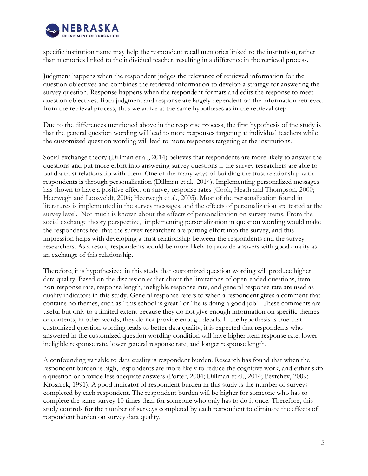

specific institution name may help the respondent recall memories linked to the institution, rather than memories linked to the individual teacher, resulting in a difference in the retrieval process.

Judgment happens when the respondent judges the relevance of retrieved information for the question objectives and combines the retrieved information to develop a strategy for answering the survey question. Response happens when the respondent formats and edits the response to meet question objectives. Both judgment and response are largely dependent on the information retrieved from the retrieval process, thus we arrive at the same hypotheses as in the retrieval step.

Due to the differences mentioned above in the response process, the first hypothesis of the study is that the general question wording will lead to more responses targeting at individual teachers while the customized question wording will lead to more responses targeting at the institutions.

Social exchange theory (Dillman et al., 2014) believes that respondents are more likely to answer the questions and put more effort into answering survey questions if the survey researchers are able to build a trust relationship with them. One of the many ways of building the trust relationship with respondents is through personalization (Dillman et al., 2014). Implementing personalized messages has shown to have a positive effect on survey response rates (Cook, Heath and Thompson, 2000; Heerwegh and Loosveldt, 2006; Heerwegh et al., 2005). Most of the personalization found in literatures is implemented in the survey messages, and the effects of personalization are tested at the survey level. Not much is known about the effects of personalization on survey items. From the social exchange theory perspective, implementing personalization in question wording would make the respondents feel that the survey researchers are putting effort into the survey, and this impression helps with developing a trust relationship between the respondents and the survey researchers. As a result, respondents would be more likely to provide answers with good quality as an exchange of this relationship.

Therefore, it is hypothesized in this study that customized question wording will produce higher data quality. Based on the discussion earlier about the limitations of open-ended questions, item non-response rate, response length, ineligible response rate, and general response rate are used as quality indicators in this study. General response refers to when a respondent gives a comment that contains no themes, such as "this school is great" or "he is doing a good job". These comments are useful but only to a limited extent because they do not give enough information on specific themes or contents, in other words, they do not provide enough details. If the hypothesis is true that customized question wording leads to better data quality, it is expected that respondents who answered in the customized question wording condition will have higher item response rate, lower ineligible response rate, lower general response rate, and longer response length.

A confounding variable to data quality is respondent burden. Research has found that when the respondent burden is high, respondents are more likely to reduce the cognitive work, and either skip a question or provide less adequate answers (Porter, 2004; Dillman et al., 2014; Peytchev, 2009; Krosnick, 1991). A good indicator of respondent burden in this study is the number of surveys completed by each respondent. The respondent burden will be higher for someone who has to complete the same survey 10 times than for someone who only has to do it once. Therefore, this study controls for the number of surveys completed by each respondent to eliminate the effects of respondent burden on survey data quality.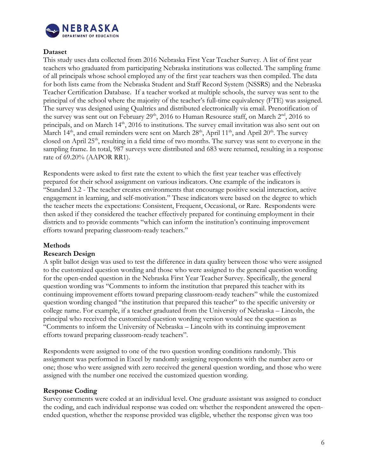

# <span id="page-6-0"></span>**Dataset**

This study uses data collected from 2016 Nebraska First Year Teacher Survey. A list of first year teachers who graduated from participating Nebraska institutions was collected. The sampling frame of all principals whose school employed any of the first year teachers was then compiled. The data for both lists came from the Nebraska Student and Staff Record System (NSSRS) and the Nebraska Teacher Certification Database. If a teacher worked at multiple schools, the survey was sent to the principal of the school where the majority of the teacher's full-time equivalency (FTE) was assigned. The survey was designed using Qualtrics and distributed electronically via email. Prenotification of the survey was sent out on February  $29<sup>th</sup>$ ,  $2016$  to Human Resource staff, on March  $2<sup>nd</sup>$ ,  $2016$  to principals, and on March 14<sup>th</sup>, 2016 to institutions. The survey email invitation was also sent out on March  $14^{\text{th}}$ , and email reminders were sent on March  $28^{\text{th}}$ , April  $11^{\text{th}}$ , and April  $20^{\text{th}}$ . The survey closed on April 25<sup>th</sup>, resulting in a field time of two months. The survey was sent to everyone in the sampling frame. In total, 987 surveys were distributed and 683 were returned, resulting in a response rate of 69.20% (AAPOR RR1).

Respondents were asked to first rate the extent to which the first year teacher was effectively prepared for their school assignment on various indicators. One example of the indicators is "Standard 3.2 - The teacher creates environments that encourage positive social interaction, active engagement in learning, and self-motivation." These indicators were based on the degree to which the teacher meets the expectations: Consistent, Frequent, Occasional, or Rare. Respondents were then asked if they considered the teacher effectively prepared for continuing employment in their districts and to provide comments "which can inform the institution's continuing improvement efforts toward preparing classroom-ready teachers."

#### <span id="page-6-1"></span>**Methods**

#### <span id="page-6-2"></span>**Research Design**

A split ballot design was used to test the difference in data quality between those who were assigned to the customized question wording and those who were assigned to the general question wording for the open-ended question in the Nebraska First Year Teacher Survey. Specifically, the general question wording was "Comments to inform the institution that prepared this teacher with its continuing improvement efforts toward preparing classroom-ready teachers" while the customized question wording changed "the institution that prepared this teacher" to the specific university or college name. For example, if a teacher graduated from the University of Nebraska – Lincoln, the principal who received the customized question wording version would see the question as "Comments to inform the University of Nebraska – Lincoln with its continuing improvement efforts toward preparing classroom-ready teachers".

Respondents were assigned to one of the two question wording conditions randomly. This assignment was performed in Excel by randomly assigning respondents with the number zero or one; those who were assigned with zero received the general question wording, and those who were assigned with the number one received the customized question wording.

#### <span id="page-6-3"></span>**Response Coding**

Survey comments were coded at an individual level. One graduate assistant was assigned to conduct the coding, and each individual response was coded on: whether the respondent answered the openended question, whether the response provided was eligible, whether the response given was too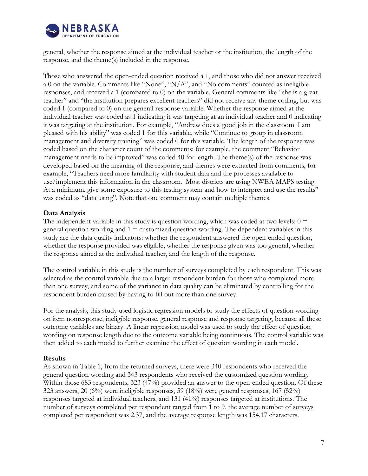

general, whether the response aimed at the individual teacher or the institution, the length of the response, and the theme(s) included in the response.

Those who answered the open-ended question received a 1, and those who did not answer received a 0 on the variable. Comments like "None", "N/A", and "No comments" counted as ineligible responses, and received a 1 (compared to 0) on the variable. General comments like "she is a great teacher" and "the institution prepares excellent teachers" did not receive any theme coding, but was coded 1 (compared to 0) on the general response variable. Whether the response aimed at the individual teacher was coded as 1 indicating it was targeting at an individual teacher and 0 indicating it was targeting at the institution. For example, "Andrew does a good job in the classroom. I am pleased with his ability" was coded 1 for this variable, while "Continue to group in classroom management and diversity training" was coded 0 for this variable. The length of the response was coded based on the character count of the comments; for example, the comment "Behavior management needs to be improved" was coded 40 for length. The theme(s) of the response was developed based on the meaning of the response, and themes were extracted from comments, for example, "Teachers need more familiarity with student data and the processes available to use/implement this information in the classroom. Most districts are using NWEA MAPS testing. At a minimum, give some exposure to this testing system and how to interpret and use the results" was coded as "data using". Note that one comment may contain multiple themes.

# <span id="page-7-0"></span>**Data Analysis**

The independent variable in this study is question wording, which was coded at two levels:  $0 =$ general question wording and  $1 =$  customized question wording. The dependent variables in this study are the data quality indicators: whether the respondent answered the open-ended question, whether the response provided was eligible, whether the response given was too general, whether the response aimed at the individual teacher, and the length of the response.

The control variable in this study is the number of surveys completed by each respondent. This was selected as the control variable due to a larger respondent burden for those who completed more than one survey, and some of the variance in data quality can be eliminated by controlling for the respondent burden caused by having to fill out more than one survey.

For the analysis, this study used logistic regression models to study the effects of question wording on item nonresponse, ineligible response, general response and response targeting, because all these outcome variables are binary. A linear regression model was used to study the effect of question wording on response length due to the outcome variable being continuous. The control variable was then added to each model to further examine the effect of question wording in each model.

#### <span id="page-7-1"></span>**Results**

As shown in Table 1, from the returned surveys, there were 340 respondents who received the general question wording and 343 respondents who received the customized question wording. Within those 683 respondents, 323 (47%) provided an answer to the open-ended question. Of these 323 answers, 20 (6%) were ineligible responses, 59 (18%) were general responses, 167 (52%) responses targeted at individual teachers, and 131 (41%) responses targeted at institutions. The number of surveys completed per respondent ranged from 1 to 9, the average number of surveys completed per respondent was 2.37, and the average response length was 154.17 characters.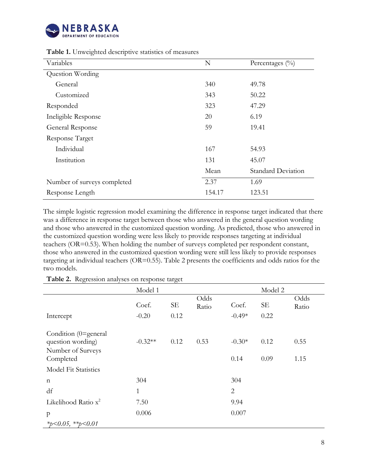

| Variables                   | N      | Percentages $(\%$         |
|-----------------------------|--------|---------------------------|
| Question Wording            |        |                           |
| General                     | 340    | 49.78                     |
| Customized                  | 343    | 50.22                     |
| Responded                   | 323    | 47.29                     |
| Ineligible Response         | 20     | 6.19                      |
| General Response            | 59     | 19.41                     |
| Response Target             |        |                           |
| Individual                  | 167    | 54.93                     |
| Institution                 | 131    | 45.07                     |
|                             | Mean   | <b>Standard Deviation</b> |
| Number of surveys completed | 2.37   | 1.69                      |
| Response Length             | 154.17 | 123.51                    |
|                             |        |                           |

**Table 1.** Unweighted descriptive statistics of measures

The simple logistic regression model examining the difference in response target indicated that there was a difference in response target between those who answered in the general question wording and those who answered in the customized question wording. As predicted, those who answered in the customized question wording were less likely to provide responses targeting at individual teachers (OR=0.53). When holding the number of surveys completed per respondent constant, those who answered in the customized question wording were still less likely to provide responses targeting at individual teachers (OR=0.55). Table 2 presents the coefficients and odds ratios for the two models.

**Table 2.** Regression analyses on response target

|                                                                             | Model 1          |                   |               |                   | Model 2           |               |
|-----------------------------------------------------------------------------|------------------|-------------------|---------------|-------------------|-------------------|---------------|
| Intercept                                                                   | Coef.<br>$-0.20$ | <b>SE</b><br>0.12 | Odds<br>Ratio | Coef.<br>$-0.49*$ | <b>SE</b><br>0.22 | Odds<br>Ratio |
| Condition (0=general<br>question wording)<br>Number of Surveys<br>Completed | $-0.32**$        | 0.12              | 0.53          | $-0.30*$<br>0.14  | 0.12<br>0.09      | 0.55<br>1.15  |
| <b>Model Fit Statistics</b>                                                 |                  |                   |               |                   |                   |               |
| $\mathbf n$                                                                 | 304              |                   |               | 304               |                   |               |
| df                                                                          | $\mathbf{1}$     |                   |               | $\overline{2}$    |                   |               |
| Likelihood Ratio x <sup>2</sup>                                             | 7.50             |                   |               | 9.94              |                   |               |
| $\mathbf{p}$<br>*p<0.05, **p<0.01                                           | 0.006            |                   |               | 0.007             |                   |               |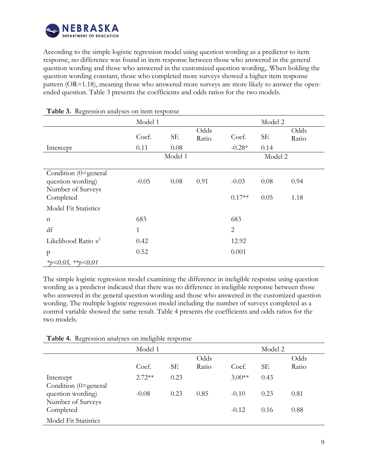

According to the simple logistic regression model using question wording as a predictor to item response, no difference was found in item response between those who answered in the general question wording and those who answered in the customized question wording,. When holding the question wording constant, those who completed more surveys showed a higher item response pattern (OR=1.18), meaning those who answered more surveys are more likely to answer the openended question. Table 3 presents the coefficients and odds ratios for the two models.

|                                                                | Model 1 |           |               |                | Model 2 |               |
|----------------------------------------------------------------|---------|-----------|---------------|----------------|---------|---------------|
|                                                                | Coef.   | <b>SE</b> | Odds<br>Ratio | Coef.          | SЕ      | Odds<br>Ratio |
| Intercept                                                      | 0.11    | 0.08      |               | $-0.28*$       | 0.14    |               |
|                                                                |         | Model 1   |               |                | Model 2 |               |
|                                                                |         |           |               |                |         |               |
| Condition (0=general<br>question wording)<br>Number of Surveys | $-0.05$ | 0.08      | 0.91          | $-0.03$        | 0.08    | 0.94          |
| Completed                                                      |         |           |               | $0.17**$       | 0.05    | 1.18          |
| <b>Model Fit Statistics</b>                                    |         |           |               |                |         |               |
| $\mathbf n$                                                    | 683     |           |               | 683            |         |               |
| df                                                             | 1       |           |               | $\overline{2}$ |         |               |
| Likelihood Ratio $x^2$                                         | 0.42    |           |               | 12.92          |         |               |
| $\mathbf{p}$                                                   | 0.52    |           |               | 0.001          |         |               |
| * $p<0.05$ , ** $p<0.01$                                       |         |           |               |                |         |               |

#### **Table 3.** Regression analyses on item response

The simple logistic regression model examining the difference in ineligible response using question wording as a predictor indicated that there was no difference in ineligible response between those who answered in the general question wording and those who answered in the customized question wording. The multiple logistic regression model including the number of surveys completed as a control variable showed the same result. Table 4 presents the coefficients and odds ratios for the two models.

|  |  |  | Table 4. Regression analyses on ineligible response |  |
|--|--|--|-----------------------------------------------------|--|
|--|--|--|-----------------------------------------------------|--|

|                                        | Model 1  |           |       |          | Model 2   |       |
|----------------------------------------|----------|-----------|-------|----------|-----------|-------|
|                                        |          |           | Odds  |          |           | Odds  |
|                                        | Coef.    | <b>SE</b> | Ratio | Coef.    | <b>SE</b> | Ratio |
| Intercept<br>Condition (0=general      | $2.72**$ | 0.23      |       | $3.00**$ | 0.43      |       |
| question wording)<br>Number of Surveys | $-0.08$  | 0.23      | 0.85  | $-0.10$  | 0.23      | 0.81  |
| Completed                              |          |           |       | $-0.12$  | 0.16      | 0.88  |
| <b>Model Fit Statistics</b>            |          |           |       |          |           |       |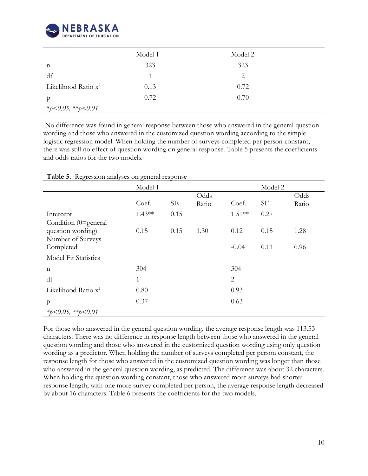

|                        | Model 1 | Model 2 |  |
|------------------------|---------|---------|--|
| n                      | 323     | 323     |  |
| df                     |         | 2       |  |
| Likelihood Ratio $x^2$ | 0.13    | 0.72    |  |
| p                      | 0.72    | 0.70    |  |
| *p<0.05, **p<0.01      |         |         |  |

No difference was found in general response between those who answered in the general question wording and those who answered in the customized question wording according to the simple logistic regression model. When holding the number of surveys completed per person constant, there was still no effect of question wording on general response. Table 5 presents the coefficients and odds ratios for the two models.

|                                        | Model 1      |      |       |                | Model 2 |       |
|----------------------------------------|--------------|------|-------|----------------|---------|-------|
|                                        |              |      | Odds  |                |         | Odds  |
|                                        | Coef.        | SE   | Ratio | Coef.          | SE      | Ratio |
| Intercept<br>Condition (0=general      | $1.43**$     | 0.15 |       | $1.51**$       | 0.27    |       |
| question wording)<br>Number of Surveys | 0.15         | 0.15 | 1.30  | 0.12           | 0.15    | 1.28  |
| Completed                              |              |      |       | $-0.04$        | 0.11    | 0.96  |
| <b>Model Fit Statistics</b>            |              |      |       |                |         |       |
| n                                      | 304          |      |       | 304            |         |       |
| df                                     | $\mathbf{1}$ |      |       | $\overline{2}$ |         |       |
| Likelihood Ratio $x^2$                 | 0.80         |      |       | 0.93           |         |       |
| p                                      | 0.37         |      |       | 0.63           |         |       |
| *p<0.05, **p<0.01                      |              |      |       |                |         |       |

**Table 5.** Regression analyses on general response

For those who answered in the general question wording, the average response length was 113.53 characters. There was no difference in response length between those who answered in the general question wording and those who answered in the customized question wording using only question wording as a predictor. When holding the number of surveys completed per person constant, the response length for those who answered in the customized question wording was longer than those who answered in the general question wording, as predicted. The difference was about 32 characters. When holding the question wording constant, those who answered more surveys had shorter response length; with one more survey completed per person, the average response length decreased by about 16 characters. Table 6 presents the coefficients for the two models.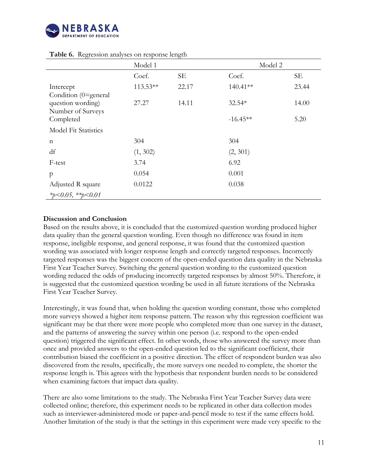

|                                        | Model 1    | ັ         | Model 2    |           |
|----------------------------------------|------------|-----------|------------|-----------|
|                                        | Coef.      | <b>SE</b> | Coef.      | <b>SE</b> |
| Intercept<br>Condition (0=general      | $113.53**$ | 22.17     | 140.41**   | 23.44     |
| question wording)<br>Number of Surveys | 27.27      | 14.11     | 32.54*     | 14.00     |
| Completed                              |            |           | $-16.45**$ | 5.20      |
| <b>Model Fit Statistics</b>            |            |           |            |           |
| $\mathbf n$                            | 304        |           | 304        |           |
| df                                     | (1, 302)   |           | (2, 301)   |           |
| F-test                                 | 3.74       |           | 6.92       |           |
| p                                      | 0.054      |           | 0.001      |           |
| Adjusted R square                      | 0.0122     |           | 0.038      |           |
| *p<0.05, **p<0.01                      |            |           |            |           |

#### **Table 6.** Regression analyses on response length

# <span id="page-11-0"></span>**Discussion and Conclusion**

Based on the results above, it is concluded that the customized question wording produced higher data quality than the general question wording. Even though no difference was found in item response, ineligible response, and general response, it was found that the customized question wording was associated with longer response length and correctly targeted responses. Incorrectly targeted responses was the biggest concern of the open-ended question data quality in the Nebraska First Year Teacher Survey. Switching the general question wording to the customized question wording reduced the odds of producing incorrectly targeted responses by almost 50%. Therefore, it is suggested that the customized question wording be used in all future iterations of the Nebraska First Year Teacher Survey.

Interestingly, it was found that, when holding the question wording constant, those who completed more surveys showed a higher item response pattern. The reason why this regression coefficient was significant may be that there were more people who completed more than one survey in the dataset, and the patterns of answering the survey within one person (i.e. respond to the open-ended question) triggered the significant effect. In other words, those who answered the survey more than once and provided answers to the open-ended question led to the significant coefficient, their contribution biased the coefficient in a positive direction. The effect of respondent burden was also discovered from the results, specifically, the more surveys one needed to complete, the shorter the response length is. This agrees with the hypothesis that respondent burden needs to be considered when examining factors that impact data quality.

There are also some limitations to the study. The Nebraska First Year Teacher Survey data were collected online; therefore, this experiment needs to be replicated in other data collection modes such as interviewer-administered mode or paper-and-pencil mode to test if the same effects hold. Another limitation of the study is that the settings in this experiment were made very specific to the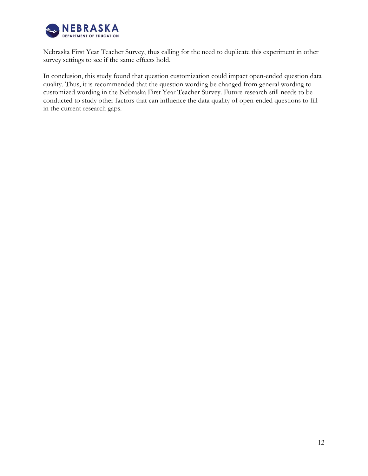

Nebraska First Year Teacher Survey, thus calling for the need to duplicate this experiment in other survey settings to see if the same effects hold.

In conclusion, this study found that question customization could impact open-ended question data quality. Thus, it is recommended that the question wording be changed from general wording to customized wording in the Nebraska First Year Teacher Survey. Future research still needs to be conducted to study other factors that can influence the data quality of open-ended questions to fill in the current research gaps.